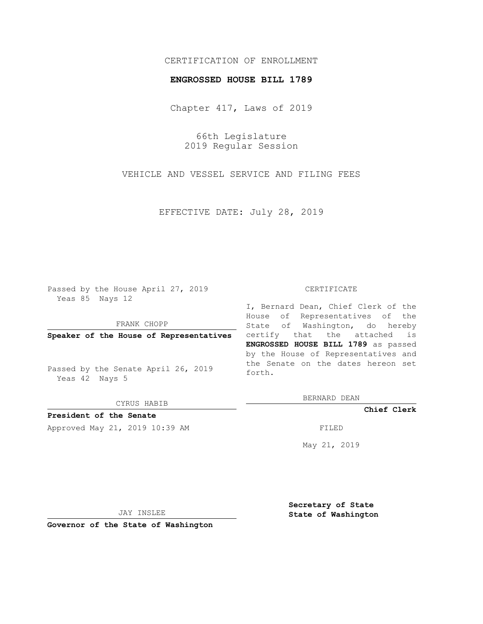## CERTIFICATION OF ENROLLMENT

### **ENGROSSED HOUSE BILL 1789**

Chapter 417, Laws of 2019

66th Legislature 2019 Regular Session

VEHICLE AND VESSEL SERVICE AND FILING FEES

EFFECTIVE DATE: July 28, 2019

Passed by the House April 27, 2019 Yeas 85 Nays 12

FRANK CHOPP

**Speaker of the House of Representatives**

Passed by the Senate April 26, 2019 Yeas 42 Nays 5

CYRUS HABIB

**President of the Senate**

Approved May 21, 2019 10:39 AM FILED

#### CERTIFICATE

I, Bernard Dean, Chief Clerk of the House of Representatives of the State of Washington, do hereby certify that the attached is **ENGROSSED HOUSE BILL 1789** as passed by the House of Representatives and the Senate on the dates hereon set forth.

BERNARD DEAN

**Chief Clerk**

May 21, 2019

JAY INSLEE

**Governor of the State of Washington**

**Secretary of State State of Washington**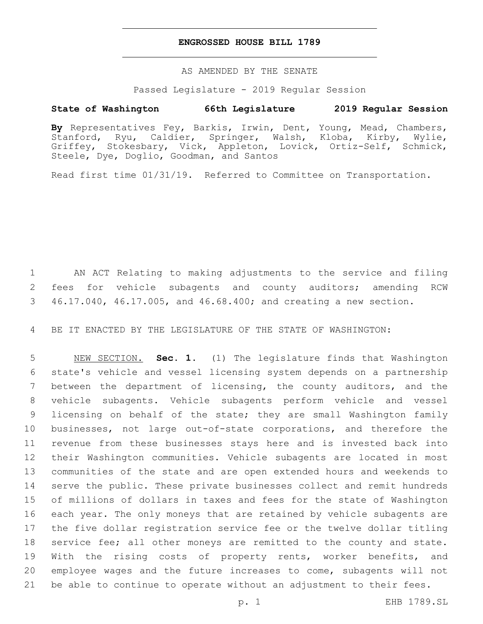## **ENGROSSED HOUSE BILL 1789**

AS AMENDED BY THE SENATE

Passed Legislature - 2019 Regular Session

# **State of Washington 66th Legislature 2019 Regular Session**

**By** Representatives Fey, Barkis, Irwin, Dent, Young, Mead, Chambers, Stanford, Ryu, Caldier, Springer, Walsh, Kloba, Kirby, Wylie, Griffey, Stokesbary, Vick, Appleton, Lovick, Ortiz-Self, Schmick, Steele, Dye, Doglio, Goodman, and Santos

Read first time 01/31/19. Referred to Committee on Transportation.

 AN ACT Relating to making adjustments to the service and filing fees for vehicle subagents and county auditors; amending RCW 46.17.040, 46.17.005, and 46.68.400; and creating a new section.

BE IT ENACTED BY THE LEGISLATURE OF THE STATE OF WASHINGTON:

 NEW SECTION. **Sec. 1.** (1) The legislature finds that Washington state's vehicle and vessel licensing system depends on a partnership between the department of licensing, the county auditors, and the vehicle subagents. Vehicle subagents perform vehicle and vessel licensing on behalf of the state; they are small Washington family businesses, not large out-of-state corporations, and therefore the revenue from these businesses stays here and is invested back into their Washington communities. Vehicle subagents are located in most communities of the state and are open extended hours and weekends to serve the public. These private businesses collect and remit hundreds of millions of dollars in taxes and fees for the state of Washington each year. The only moneys that are retained by vehicle subagents are the five dollar registration service fee or the twelve dollar titling service fee; all other moneys are remitted to the county and state. With the rising costs of property rents, worker benefits, and employee wages and the future increases to come, subagents will not be able to continue to operate without an adjustment to their fees.

p. 1 EHB 1789.SL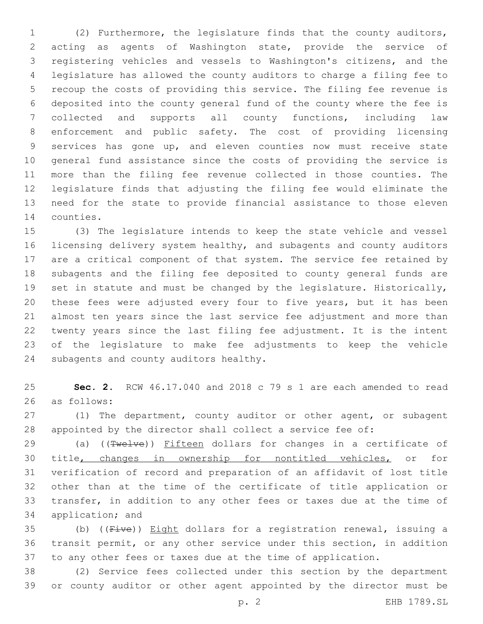(2) Furthermore, the legislature finds that the county auditors, acting as agents of Washington state, provide the service of registering vehicles and vessels to Washington's citizens, and the legislature has allowed the county auditors to charge a filing fee to recoup the costs of providing this service. The filing fee revenue is deposited into the county general fund of the county where the fee is collected and supports all county functions, including law enforcement and public safety. The cost of providing licensing services has gone up, and eleven counties now must receive state general fund assistance since the costs of providing the service is more than the filing fee revenue collected in those counties. The legislature finds that adjusting the filing fee would eliminate the need for the state to provide financial assistance to those eleven 14 counties.

 (3) The legislature intends to keep the state vehicle and vessel licensing delivery system healthy, and subagents and county auditors are a critical component of that system. The service fee retained by subagents and the filing fee deposited to county general funds are set in statute and must be changed by the legislature. Historically, these fees were adjusted every four to five years, but it has been almost ten years since the last service fee adjustment and more than twenty years since the last filing fee adjustment. It is the intent of the legislature to make fee adjustments to keep the vehicle 24 subagents and county auditors healthy.

 **Sec. 2.** RCW 46.17.040 and 2018 c 79 s 1 are each amended to read as follows:26

 (1) The department, county auditor or other agent, or subagent appointed by the director shall collect a service fee of:

29 (a) ((Twelve)) Fifteen dollars for changes in a certificate of title, changes in ownership for nontitled vehicles, or for verification of record and preparation of an affidavit of lost title other than at the time of the certificate of title application or transfer, in addition to any other fees or taxes due at the time of 34 application; and

35 (b) ((Five)) Eight dollars for a registration renewal, issuing a transit permit, or any other service under this section, in addition to any other fees or taxes due at the time of application.

 (2) Service fees collected under this section by the department or county auditor or other agent appointed by the director must be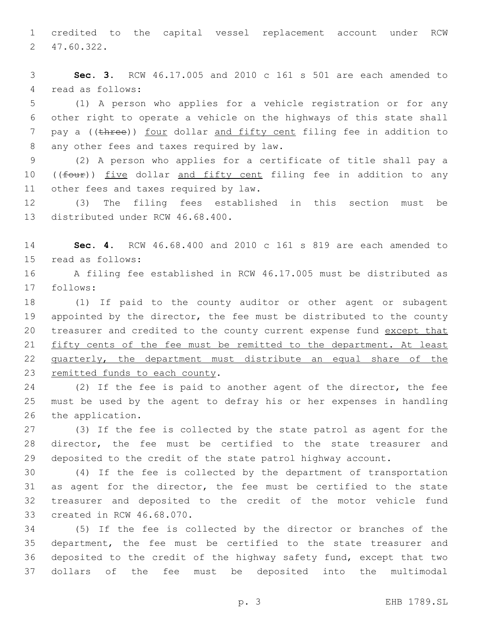1 credited to the capital vessel replacement account under RCW 47.60.322.2

3 **Sec. 3.** RCW 46.17.005 and 2010 c 161 s 501 are each amended to 4 read as follows:

5 (1) A person who applies for a vehicle registration or for any 6 other right to operate a vehicle on the highways of this state shall 7 pay a ((three)) four dollar and fifty cent filing fee in addition to 8 any other fees and taxes required by law.

9 (2) A person who applies for a certificate of title shall pay a 10 ((four)) five dollar and fifty cent filing fee in addition to any 11 other fees and taxes required by law.

12 (3) The filing fees established in this section must be 13 distributed under RCW 46.68.400.

14 **Sec. 4.** RCW 46.68.400 and 2010 c 161 s 819 are each amended to 15 read as follows:

16 A filing fee established in RCW 46.17.005 must be distributed as 17 follows:

18 (1) If paid to the county auditor or other agent or subagent 19 appointed by the director, the fee must be distributed to the county 20 treasurer and credited to the county current expense fund except that 21 fifty cents of the fee must be remitted to the department. At least 22 quarterly, the department must distribute an equal share of the 23 remitted funds to each county.

24 (2) If the fee is paid to another agent of the director, the fee 25 must be used by the agent to defray his or her expenses in handling 26 the application.

27 (3) If the fee is collected by the state patrol as agent for the 28 director, the fee must be certified to the state treasurer and 29 deposited to the credit of the state patrol highway account.

30 (4) If the fee is collected by the department of transportation 31 as agent for the director, the fee must be certified to the state 32 treasurer and deposited to the credit of the motor vehicle fund 33 created in RCW 46.68.070.

 (5) If the fee is collected by the director or branches of the department, the fee must be certified to the state treasurer and deposited to the credit of the highway safety fund, except that two dollars of the fee must be deposited into the multimodal